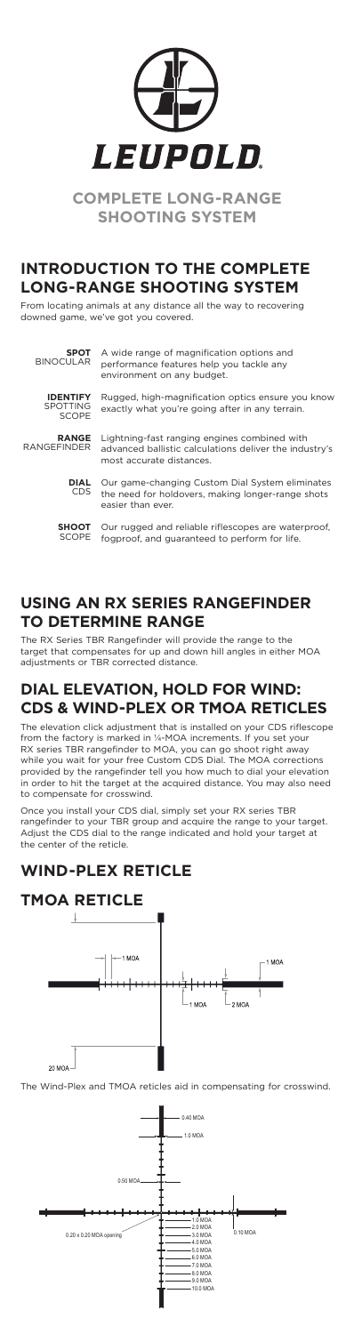# **INTRODUCTION TO THE COMPLETE LONG-RANGE SHOOTING SYSTEM**

From locating animals at any distance all the way to recovering downed game, we've got you covered.

### **USING AN RX SERIES RANGEFINDER TO DETERMINE RANGE**

The RX Series TBR Rangefinder will provide the range to the target that compensates for up and down hill angles in either MOA adjustments or TBR corrected distance.

## **DIAL ELEVATION, HOLD FOR WIND: CDS & WIND-PLEX OR TMOA RETICLES**

The elevation click adjustment that is installed on your CDS riflescope from the factory is marked in ¼-MOA increments. If you set your RX series TBR rangefinder to MOA, you can go shoot right away while you wait for your free Custom CDS Dial. The MOA corrections provided by the rangefinder tell you how much to dial your elevation in order to hit the target at the acquired distance. You may also need to compensate for crosswind.

Once you install your CDS dial, simply set your RX series TBR rangefinder to your TBR group and acquire the range to your target. Adjust the CDS dial to the range indicated and hold your target at the center of the reticle.

### **WIND-PLEX RETICLE**

### **TMOA RETICLE**





The Wind-Plex and TMOA reticles aid in compensating for crosswind.

**SPOT** BINOCULAR A wide range of magnification options and performance features help you tackle any

environment on any budget.

**IDENTIFY** SPOTTING SCOPE

Rugged, high-magnification optics ensure you know exactly what you're going after in any terrain.

**RANGE** RANGEFINDER Lightning-fast ranging engines combined with advanced ballistic calculations deliver the industry's

most accurate distances.

**DIAL** CDS Our game-changing Custom Dial System eliminates the need for holdovers, making longer-range shots easier than ever.

**SHOOT** SCOPE Our rugged and reliable riflescopes are waterproof, fogproof, and guaranteed to perform for life.





**COMPLETE LONG-RANGE SHOOTING SYSTEM**